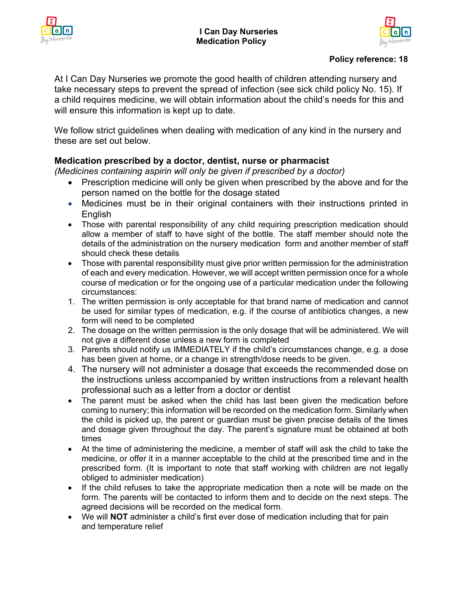



# **Policy reference: 18**

At I Can Day Nurseries we promote the good health of children attending nursery and take necessary steps to prevent the spread of infection (see sick child policy No. 15). If a child requires medicine, we will obtain information about the child's needs for this and will ensure this information is kept up to date.

We follow strict guidelines when dealing with medication of any kind in the nursery and these are set out below.

# **Medication prescribed by a doctor, dentist, nurse or pharmacist**

*(Medicines containing aspirin will only be given if prescribed by a doctor)*

- Prescription medicine will only be given when prescribed by the above and for the person named on the bottle for the dosage stated
- Medicines must be in their original containers with their instructions printed in English
- Those with parental responsibility of any child requiring prescription medication should allow a member of staff to have sight of the bottle. The staff member should note the details of the administration on the nursery medication form and another member of staff should check these details
- Those with parental responsibility must give prior written permission for the administration of each and every medication. However, we will accept written permission once for a whole course of medication or for the ongoing use of a particular medication under the following circumstances:
- 1. The written permission is only acceptable for that brand name of medication and cannot be used for similar types of medication, e.g. if the course of antibiotics changes, a new form will need to be completed
- 2. The dosage on the written permission is the only dosage that will be administered. We will not give a different dose unless a new form is completed
- 3. Parents should notify us IMMEDIATELY if the child's circumstances change, e.g. a dose has been given at home, or a change in strength/dose needs to be given.
- 4. The nursery will not administer a dosage that exceeds the recommended dose on the instructions unless accompanied by written instructions from a relevant health professional such as a letter from a doctor or dentist
- The parent must be asked when the child has last been given the medication before coming to nursery; this information will be recorded on the medication form. Similarly when the child is picked up, the parent or guardian must be given precise details of the times and dosage given throughout the day. The parent's signature must be obtained at both times
- At the time of administering the medicine, a member of staff will ask the child to take the medicine, or offer it in a manner acceptable to the child at the prescribed time and in the prescribed form. (It is important to note that staff working with children are not legally obliged to administer medication)
- If the child refuses to take the appropriate medication then a note will be made on the form. The parents will be contacted to inform them and to decide on the next steps. The agreed decisions will be recorded on the medical form.
- We will **NOT** administer a child's first ever dose of medication including that for pain and temperature relief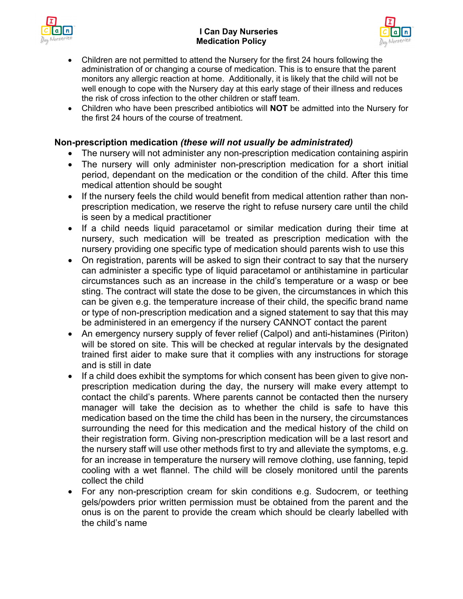



- Children are not permitted to attend the Nursery for the first 24 hours following the administration of or changing a course of medication. This is to ensure that the parent monitors any allergic reaction at home. Additionally, it is likely that the child will not be well enough to cope with the Nursery day at this early stage of their illness and reduces the risk of cross infection to the other children or staff team.
- Children who have been prescribed antibiotics will **NOT** be admitted into the Nursery for the first 24 hours of the course of treatment.

# **Non-prescription medication** *(these will not usually be administrated)*

- The nursery will not administer any non-prescription medication containing aspirin
- The nursery will only administer non-prescription medication for a short initial period, dependant on the medication or the condition of the child. After this time medical attention should be sought
- If the nursery feels the child would benefit from medical attention rather than nonprescription medication, we reserve the right to refuse nursery care until the child is seen by a medical practitioner
- If a child needs liquid paracetamol or similar medication during their time at nursery, such medication will be treated as prescription medication with the nursery providing one specific type of medication should parents wish to use this
- On registration, parents will be asked to sign their contract to say that the nursery can administer a specific type of liquid paracetamol or antihistamine in particular circumstances such as an increase in the child's temperature or a wasp or bee sting. The contract will state the dose to be given, the circumstances in which this can be given e.g. the temperature increase of their child, the specific brand name or type of non-prescription medication and a signed statement to say that this may be administered in an emergency if the nursery CANNOT contact the parent
- An emergency nursery supply of fever relief (Calpol) and anti-histamines (Piriton) will be stored on site. This will be checked at regular intervals by the designated trained first aider to make sure that it complies with any instructions for storage and is still in date
- If a child does exhibit the symptoms for which consent has been given to give nonprescription medication during the day, the nursery will make every attempt to contact the child's parents. Where parents cannot be contacted then the nursery manager will take the decision as to whether the child is safe to have this medication based on the time the child has been in the nursery, the circumstances surrounding the need for this medication and the medical history of the child on their registration form. Giving non-prescription medication will be a last resort and the nursery staff will use other methods first to try and alleviate the symptoms, e.g. for an increase in temperature the nursery will remove clothing, use fanning, tepid cooling with a wet flannel. The child will be closely monitored until the parents collect the child
- For any non-prescription cream for skin conditions e.g. Sudocrem, or teething gels/powders prior written permission must be obtained from the parent and the onus is on the parent to provide the cream which should be clearly labelled with the child's name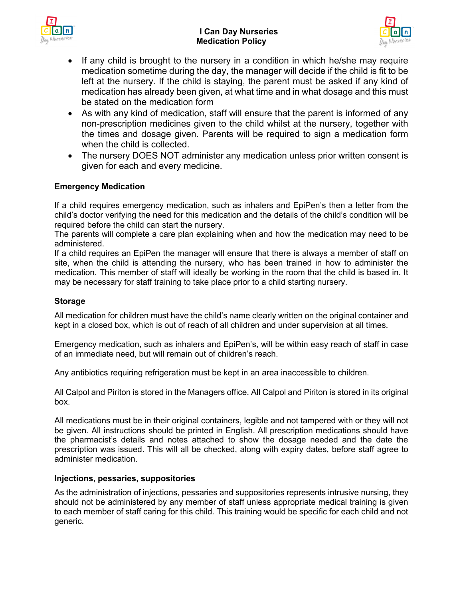## **I Can Day Nurseries Medication Policy**





- If any child is brought to the nursery in a condition in which he/she may require medication sometime during the day, the manager will decide if the child is fit to be left at the nursery. If the child is staying, the parent must be asked if any kind of medication has already been given, at what time and in what dosage and this must be stated on the medication form
- As with any kind of medication, staff will ensure that the parent is informed of any non-prescription medicines given to the child whilst at the nursery, together with the times and dosage given. Parents will be required to sign a medication form when the child is collected.
- The nursery DOES NOT administer any medication unless prior written consent is given for each and every medicine.

# **Emergency Medication**

If a child requires emergency medication, such as inhalers and EpiPen's then a letter from the child's doctor verifying the need for this medication and the details of the child's condition will be required before the child can start the nursery.

The parents will complete a care plan explaining when and how the medication may need to be administered.

If a child requires an EpiPen the manager will ensure that there is always a member of staff on site, when the child is attending the nursery, who has been trained in how to administer the medication. This member of staff will ideally be working in the room that the child is based in. It may be necessary for staff training to take place prior to a child starting nursery.

#### **Storage**

All medication for children must have the child's name clearly written on the original container and kept in a closed box, which is out of reach of all children and under supervision at all times.

Emergency medication, such as inhalers and EpiPen's, will be within easy reach of staff in case of an immediate need, but will remain out of children's reach.

Any antibiotics requiring refrigeration must be kept in an area inaccessible to children.

All Calpol and Piriton is stored in the Managers office. All Calpol and Piriton is stored in its original box.

All medications must be in their original containers, legible and not tampered with or they will not be given. All instructions should be printed in English. All prescription medications should have the pharmacist's details and notes attached to show the dosage needed and the date the prescription was issued. This will all be checked, along with expiry dates, before staff agree to administer medication.

#### **Injections, pessaries, suppositories**

As the administration of injections, pessaries and suppositories represents intrusive nursing, they should not be administered by any member of staff unless appropriate medical training is given to each member of staff caring for this child. This training would be specific for each child and not generic.